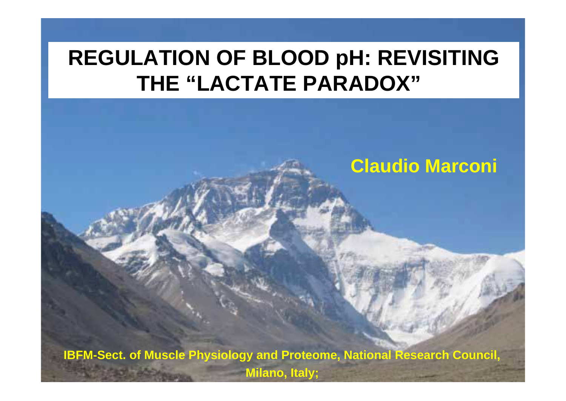## **REGULATION OF BLOOD pH: REVISITING THE "LACTATE PARADOX"**

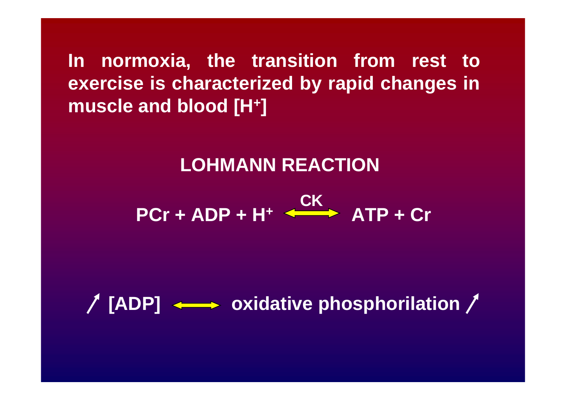**In normoxia, the transition from rest to exercise is characterized by rapid changes in muscle and blood [H + ]**

### **LOHMANN REACTION**

**PCr + ADP + H + ATP + Cr CK**

**[ADP] oxidative phosphorilation**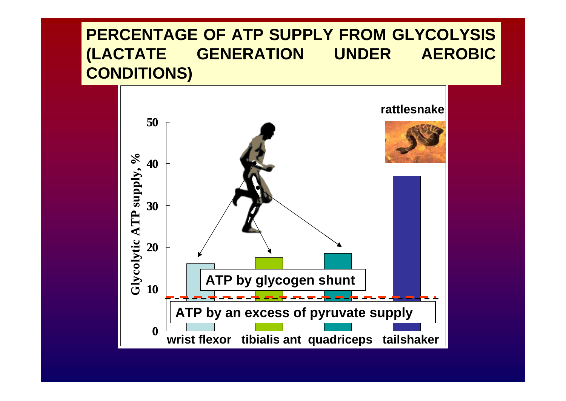### **PERCENTAGE OF ATP SUPPLY FROM GLYCOLYSIS (LACTATE GENERATION UNDER AEROBIC CONDITIONS)**

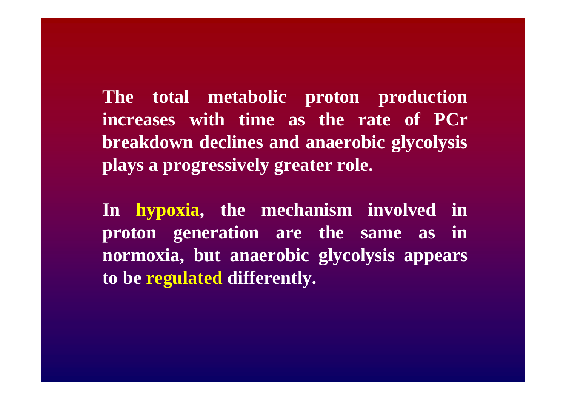**The total metabolic proton production increases with time as the rate of PCr breakdown declines and anaerobic glycolysis plays a progressively greater role.**

**In hypoxia, the mechanism involved in proton generation are the same as in normoxia, but anaerobic glycolysis appears to be regulated differently.**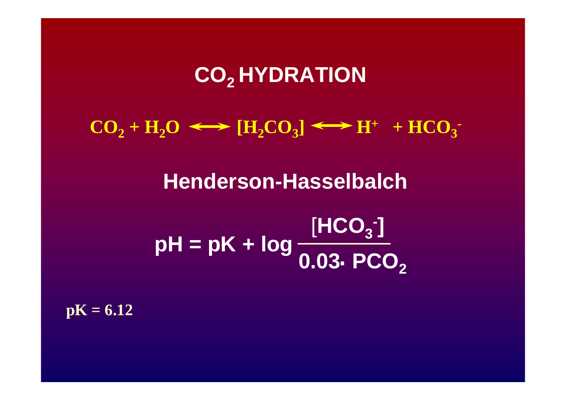## CO<sub>2</sub> HYDRATION

 $CO_2 + H_2O \iff [H_2CO_3] \iff H^+ + HCO_3$ 

**Henderson-Hasselbalch**

**pH <sup>=</sup> pK + log** [**HCO3-] 0.03 PCO2** .

 $pK = 6.12$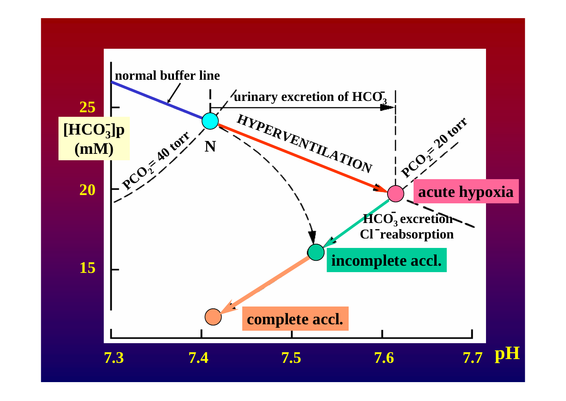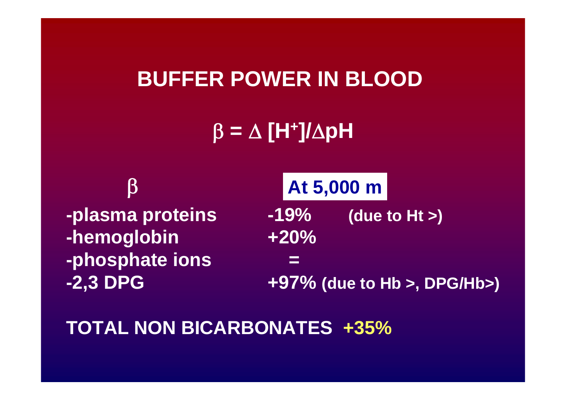### **BUFFER POWER IN BLOOD**

β **<sup>=</sup>** Δ **[H +]/**Δ**pH**

**-plasma proteins -19% (due to Ht >) -hemoglobin +20% -phosphate ions <sup>=</sup> -2,3 DPG +97% (due to Hb >, DPG/Hb>)** β **At 5,000 m**

**TOTAL NON BICARBONATES +35%**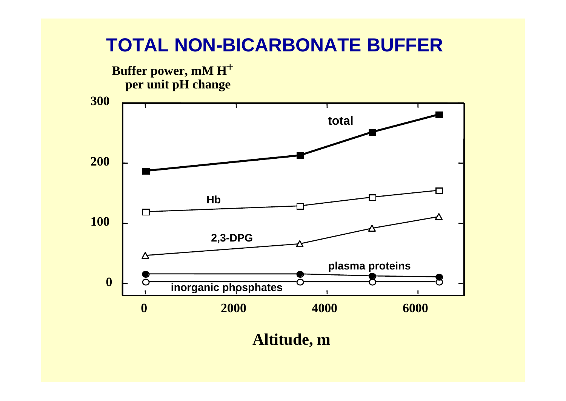

**Altitude, m**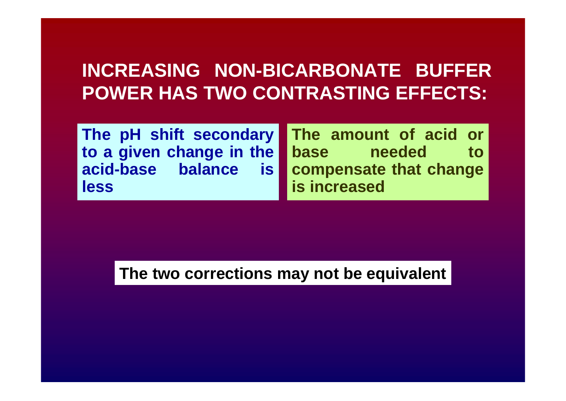### **INCREASING NON-BICARBONATE BUFFER POWER HAS TWO CONTRASTING EFFECTS:**

**The pH shift secondary to a given change in the acid-base balance is less**

**The amount of acid or base** needed to **compensate that change is increased**

**The two corrections may not be equivalent**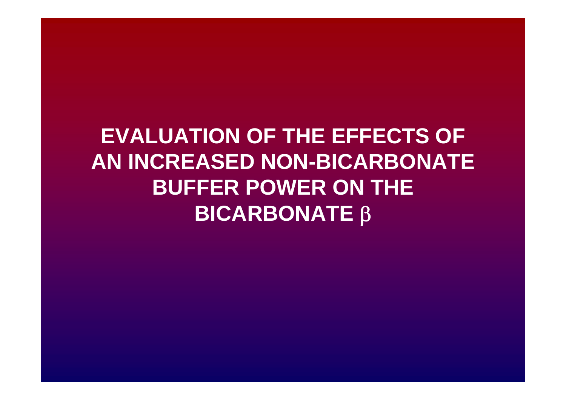## **EVALUATION OF THE EFFECTS OF AN INCREASED NON-BICARBONATE BUFFER POWER ON THE BICARBONATE**  β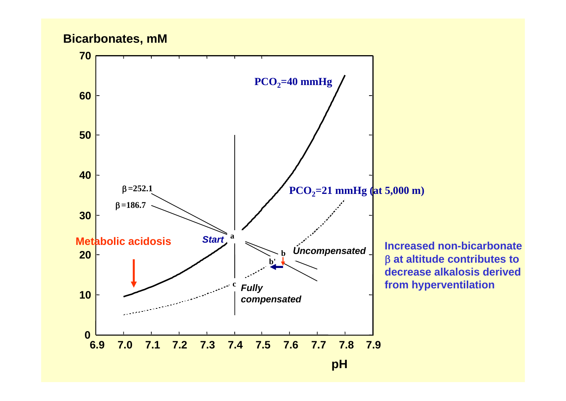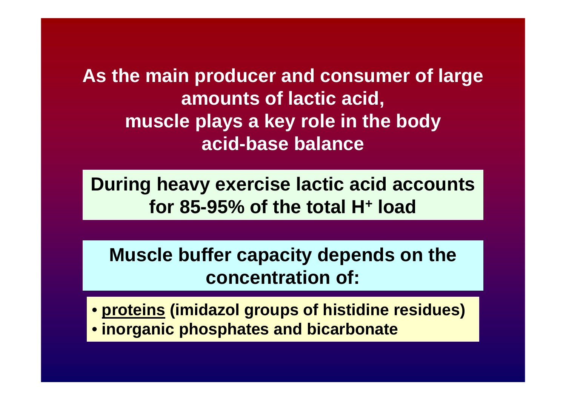**As the main producer and consumer of large amounts of lactic acid, muscle plays a key role in the body acid-base balance**

**During heavy exercise lactic acid accounts for 85-95% of the total H+ load**

**Muscle buffer capacity depends on the concentration of:**

• **proteins (imidazol groups of histidine residues)** • **inorganic phosphates and bicarbonate**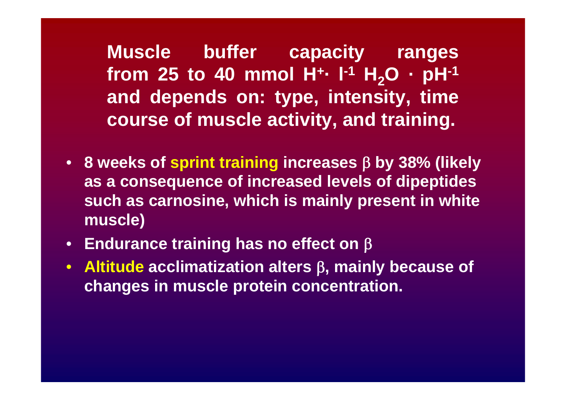**Muscle buffer capacity ranges from 25 to 40 mmol H +· l-1 H <sup>2</sup>O · pH-1 and depends on: type, intensity, time course of muscle activity, and training.**

- **8 weeks of sprint training increases**  β **by 38% (likely as a consequence of increased levels of dipeptides such as carnosine, which is mainly present in white muscle)**
- **Endurance training has no effect on**  β
- **Altitude acclimatization alters**  β**, mainly because of changes in muscle protein concentration.**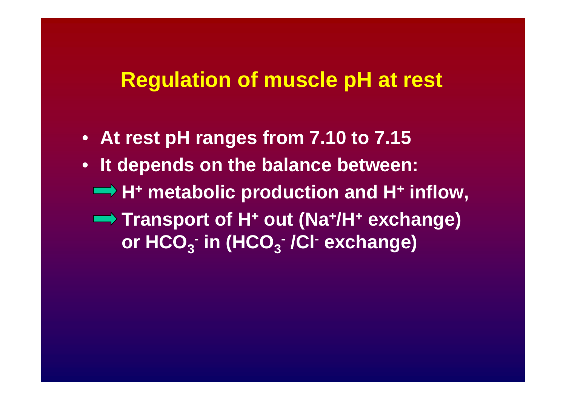### **Regulation of muscle pH at rest**

- **At rest pH ranges from 7.10 to 7.15**
- **It depends on the balance between:** 
	- **H + metabolic production and H + inflow,**
	- **Transport of H + out (Na +/H + exchange) or HCO 3- in (HCO 3- /Cl - exchange)**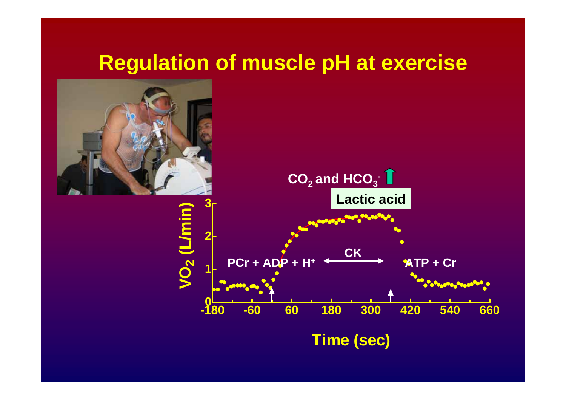## **Regulation of muscle pH at exercise**

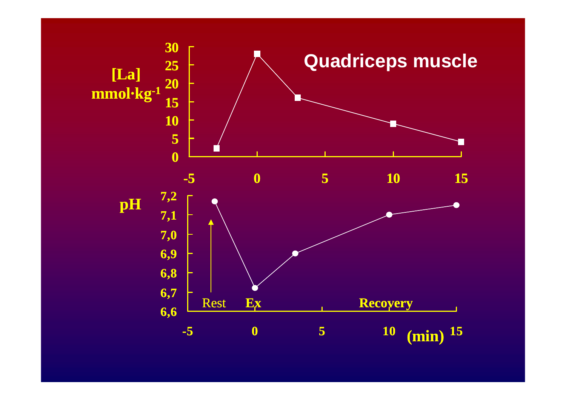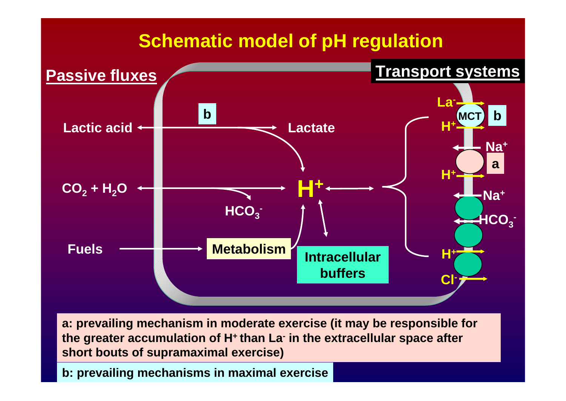### **Schematic model of pH regulation**



**a: prevailing mechanism in moderate exercise (it may be responsible for the greater accumulation of H + than La- in the extracellular space after short bouts of supramaximal exercise)**

**b: prevailing mechanisms in maximal exercise**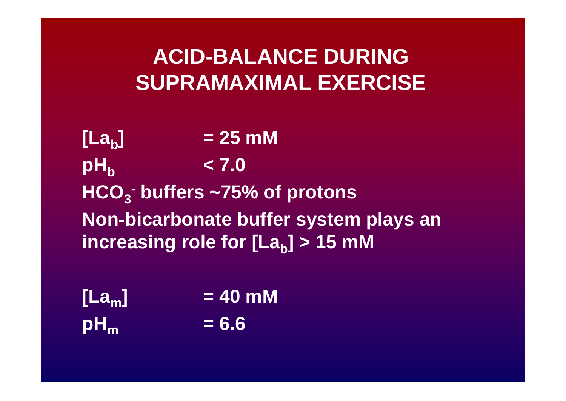## **ACID-BALANCE DURINGSUPRAMAXIMAL EXERCISE**

**[La b] = 25 mM**  $\mathsf{p}\mathsf{H}_{\mathsf{b}}$  **< 7.0**  $\mathsf{HCO}_3$ **- buffers ~75% of protons Non-bicarbonate buffer system plays an increasing role for [La b] > 15 mM** 

| [La <sub>m</sub> ] | $= 40$ mM |
|--------------------|-----------|
| $pH_m$             | $= 6.6$   |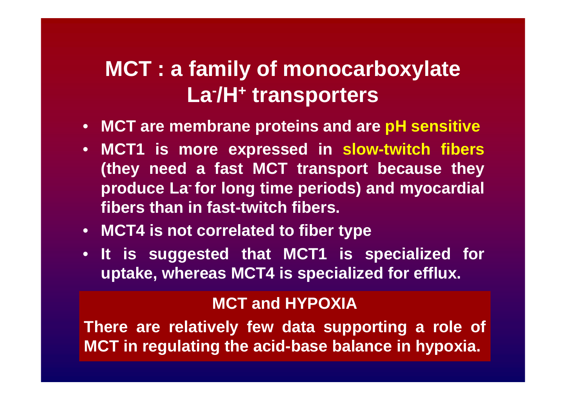#### **MCT : a family of monocarboxylate La -/H + transporters**

- **MCT are membrane proteins and are pH sensitive**
- **MCT1 is more expressed in slow-twitch fibers (they need a fast MCT transport because they produce La- for long time periods) and myocardial fibers than in fast-twitch fibers.**
- **MCT4 is not correlated to fiber type**
- **It is suggested that MCT1 is specialized for uptake, whereas MCT4 is specialized for efflux.**

#### **MCT and HYPOXIA**

**There are relatively few data supporting a role of MCT in regulating the acid-base balance in hypoxia.**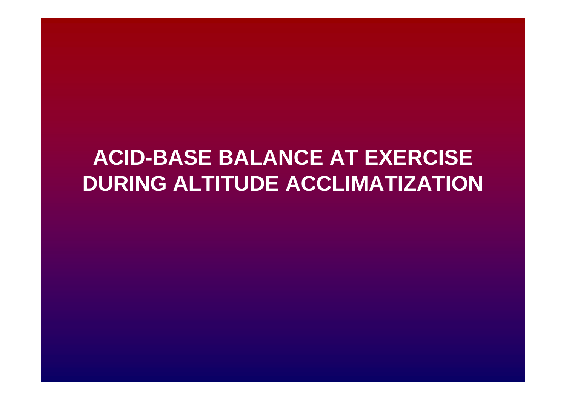## **ACID-BASE BALANCE AT EXERCISE DURING ALTITUDE ACCLIMATIZATION**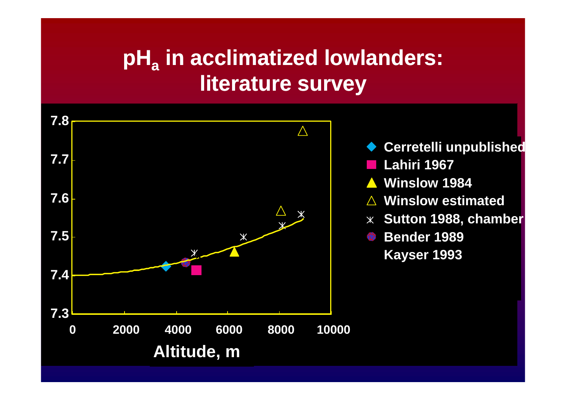## **pHa in acclimatized lowlanders: literature survey**

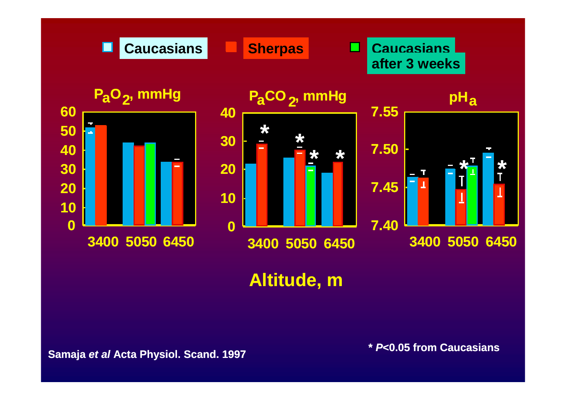

### **Altitude, m**

**Samaja** *et al* **Acta Physiol. Scand. 1997 \*** *P***<0.05 from Caucasians**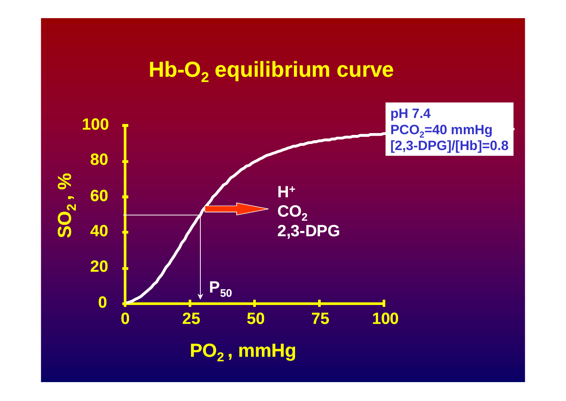### **Hb-O2 equilibrium curve**

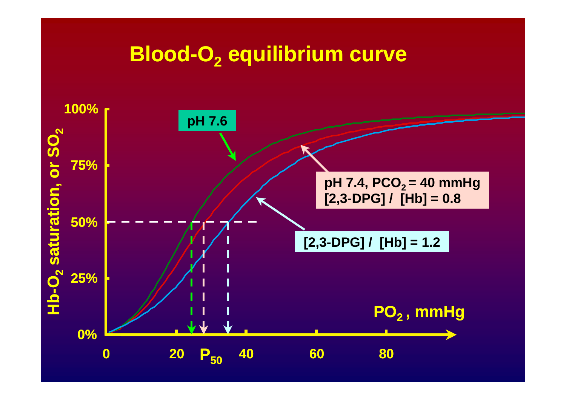### **Blood-O 2 equilibrium curve**

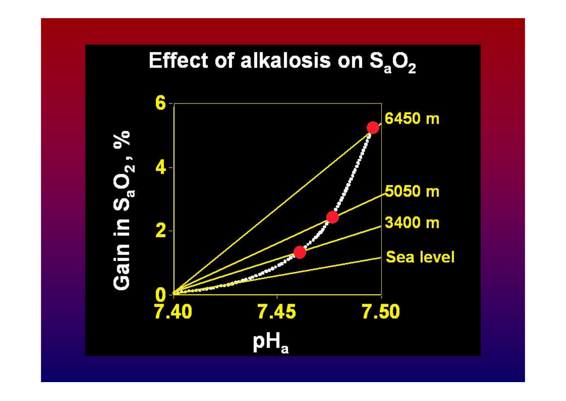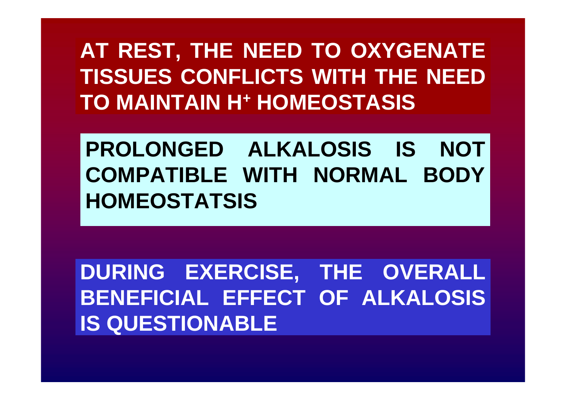## **AT REST, THE NEED TO OXYGENATE TISSUES CONFLICTS WITH THE NEED TO MAINTAIN H+ HOMEOSTASIS**

# **PROLONGED ALKALOSIS IS NOT COMPATIBLE WITH NORMAL BODY HOMEOSTATSIS**

**DURING EXERCISE, THE OVERALL BENEFICIAL EFFECT OF ALKALOSIS IS QUESTIONABLE**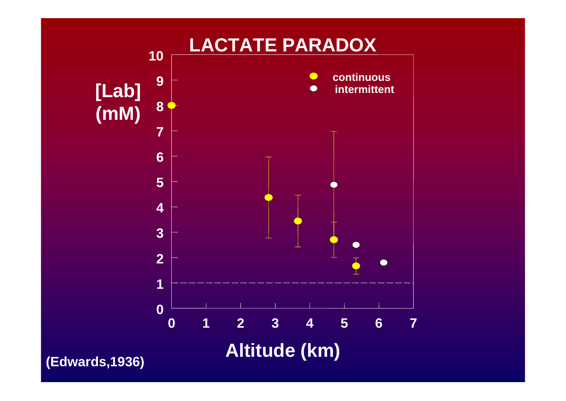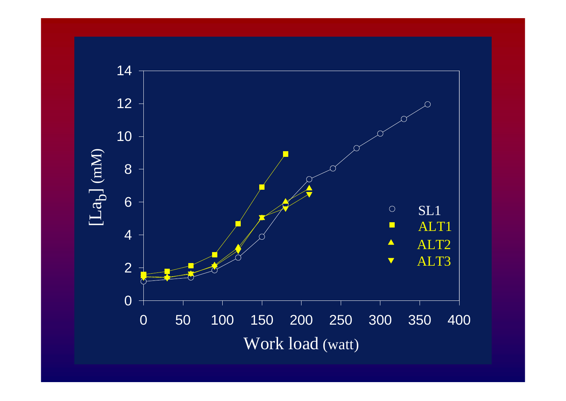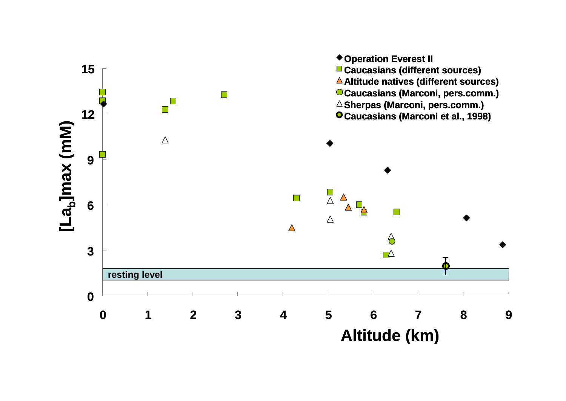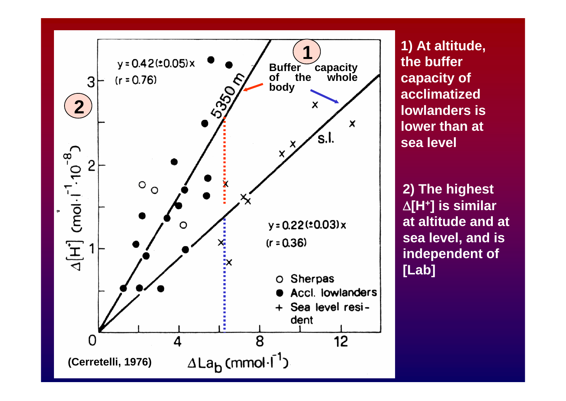

**1) At altitude, the buffer capacity of acclimatized lowlanders is lower than at sea level**

**2) The highest**  Δ**[H+] is similar at altitude and at sea level, and is independent of [Lab]**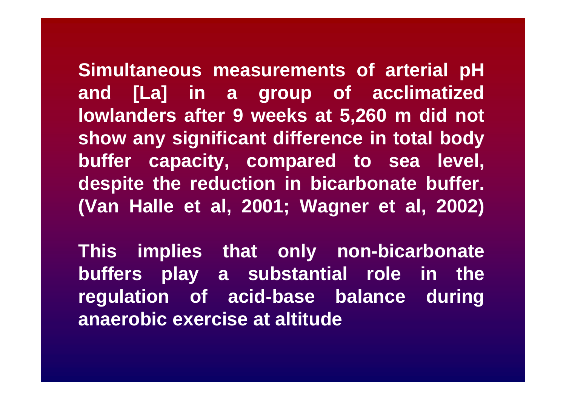**Simultaneous measurements of arterial pH and [La] in a group of acclimatized lowlanders after 9 weeks at 5,260 m did not show any significant difference in total body buffer capacity, compared to sea level, despite the reduction in bicarbonate buffer. (Van Halle et al, 2001; Wagner et al, 2002)**

**This implies that only non-bicarbonate buffers play a substantial role in the regulation of acid-base balance during anaerobic exercise at altitude**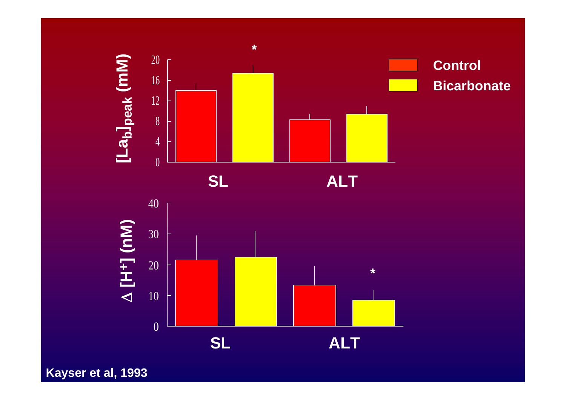

**Kayser et al, 1993**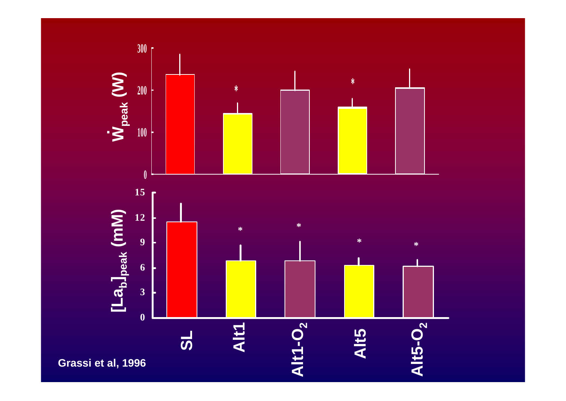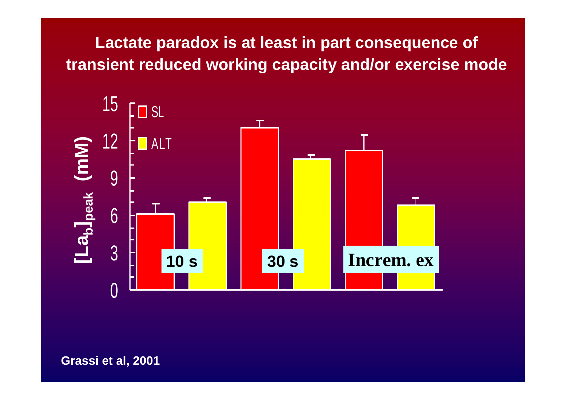### **Lactate paradox is at least in part consequence of transient reduced working capacity and/or exercise mode**

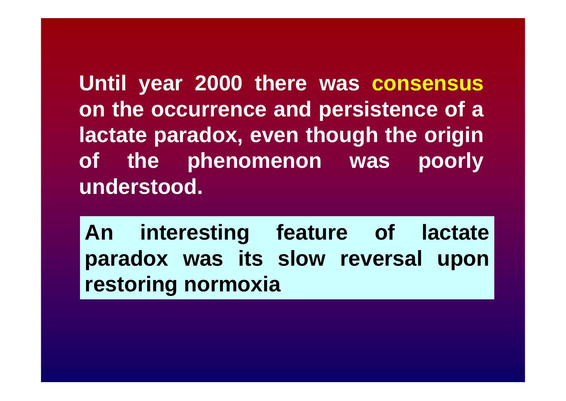**Until year 2000 there was consensus on the occurrence and persistence of a lactate paradox, even though the origin of the phenomenon was poorly understood.**

**An interesting feature of lactate paradox was its slow reversal upon restoring normoxia**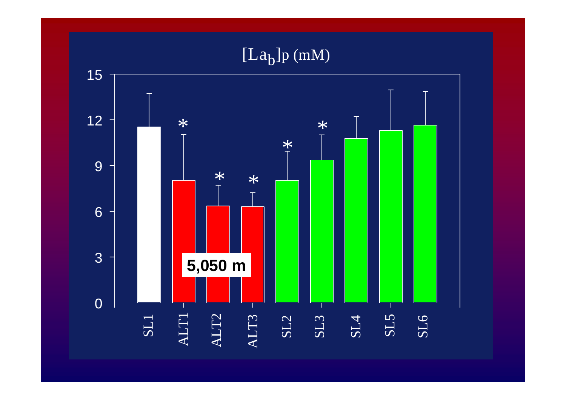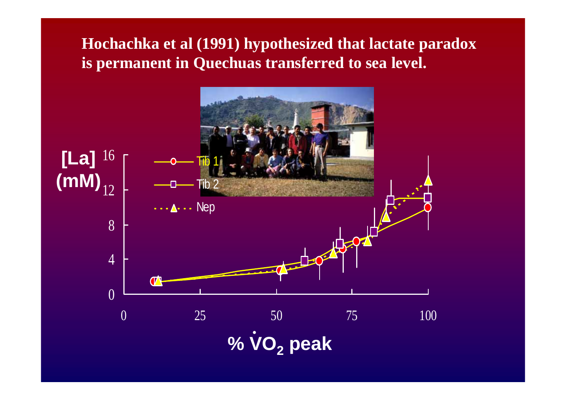#### **Hochachka et al (1991) hypothesized that lactate paradox is permanent in Quechuas transferred to sea level.**

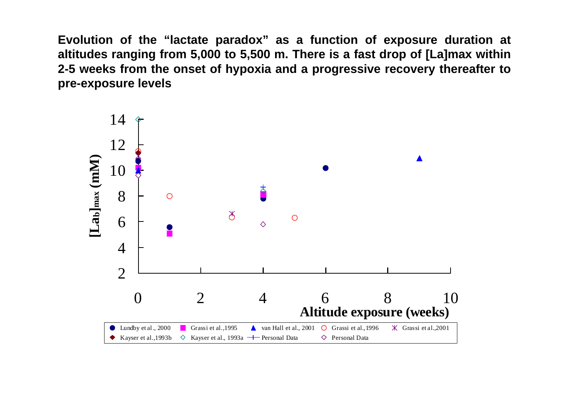**Evolution of the "lactate paradox" as a function of exposure duration at altitudes ranging from 5,000 to 5,500 m. There is a fast drop of [La]max within 2-5 weeks from the onset of hypoxia and a progressive recovery thereafter to pre-exposure levels**

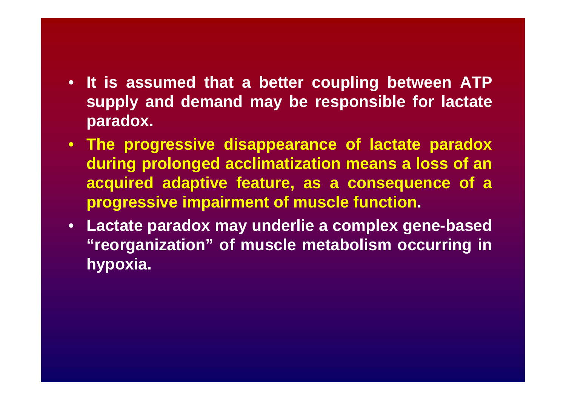- **It is assumed that <sup>a</sup> better coupling between ATP supply and demand may be responsible for lactate paradox.**
- **The progressive disappearance of lactate paradox during prolonged acclimatization means a loss of an acquired adaptive feature, as a consequence of a progressive impairment of muscle function.**
- **Lactate paradox may underlie a complex gene-based "reorganization" of muscle metabolism occurring in hypoxia.**